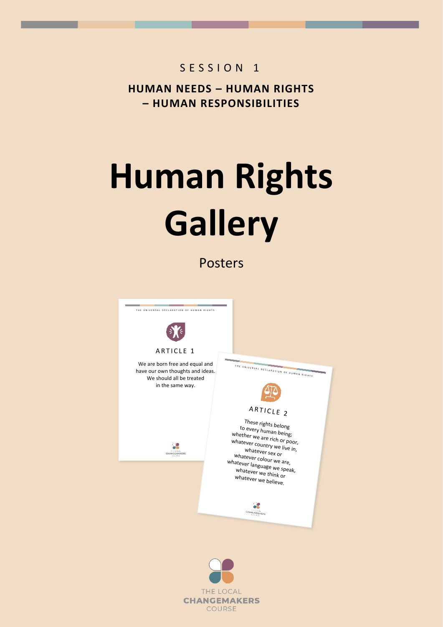#### SESSION 1

**HUMAN NEEDS – HUMAN RIGHTS – HUMAN RESPONSIBILITIES**

# **Human Rights Gallery**

Posters



THE LOCAL **CHANGEMAKERS** COURSE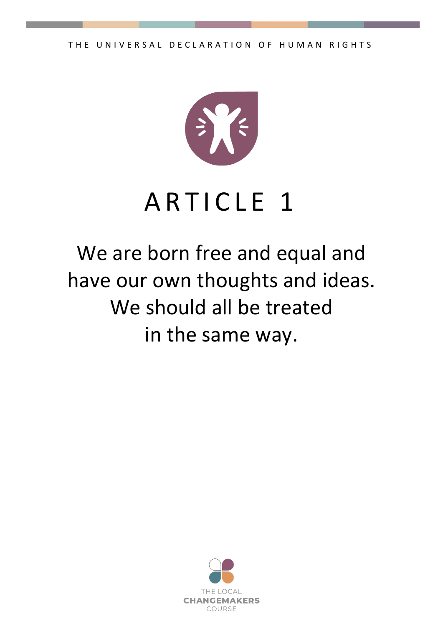### ARTICLE 1

#### We are born free and equal and have our own thoughts and ideas. We should all be treated in the same way.

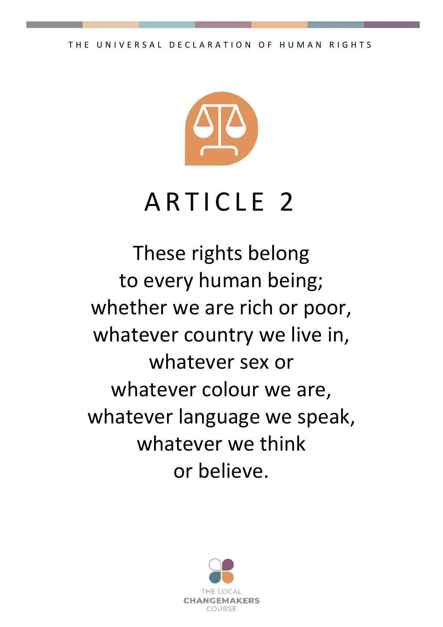

## ARTICLE 2

These rights belong to every human being; whether we are rich or poor, whatever country we live in, whatever sex or whatever colour we are, whatever language we speak, whatever we think or believe.

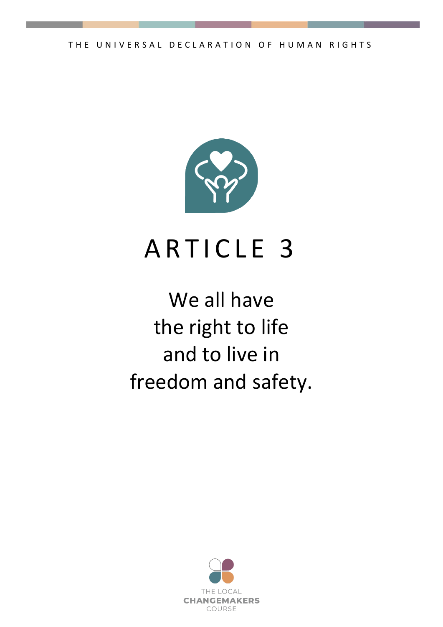

#### ARTICLE 3

#### We all have the right to life and to live in freedom and safety.

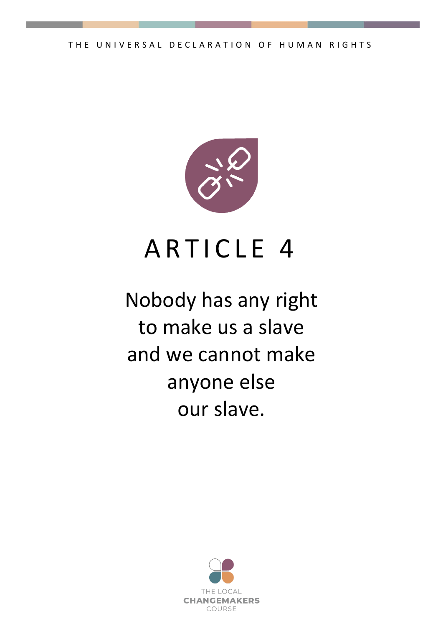

### ARTICLE 4

#### Nobody has any right to make us a slave and we cannot make anyone else our slave.

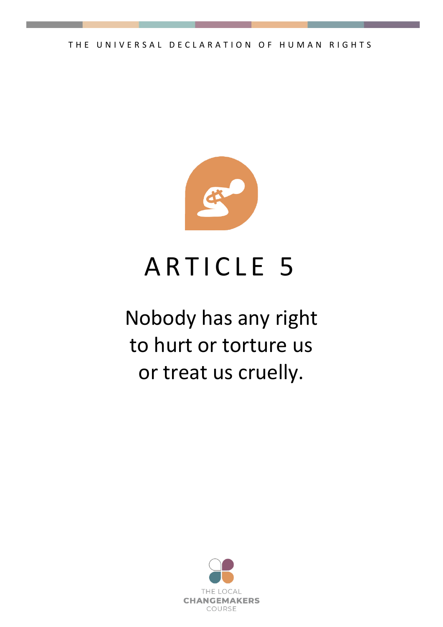

### ARTICLE 5

#### Nobody has any right to hurt or torture us or treat us cruelly.

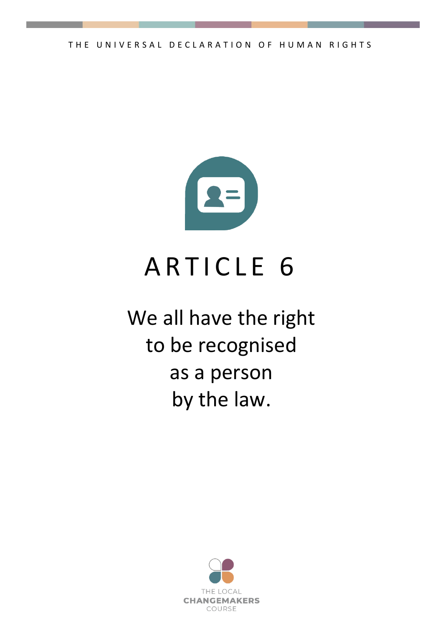

### ARTICLE 6

We all have the right to be recognised as a person by the law.

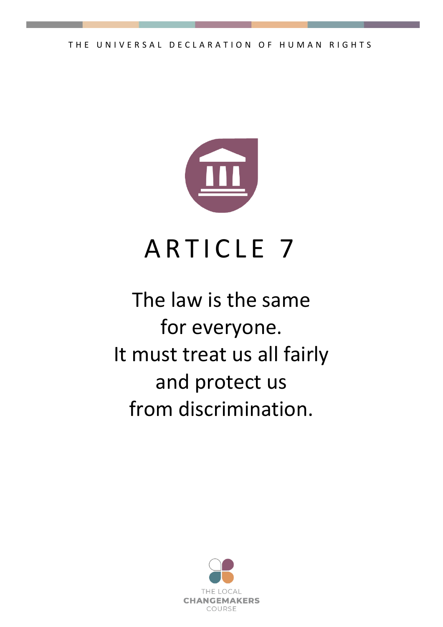

### ARTICLE 7

#### The law is the same for everyone. It must treat us all fairly and protect us from discrimination.

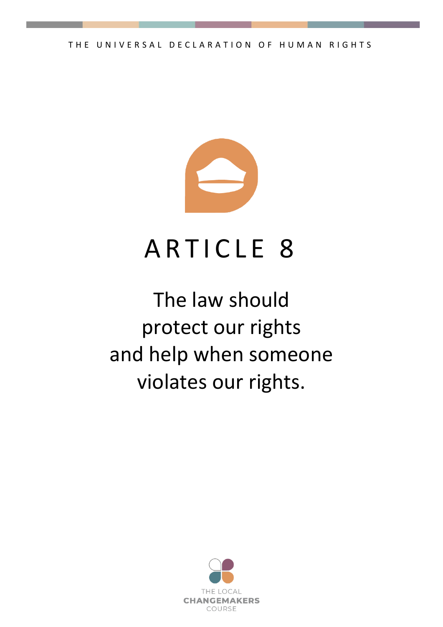

#### ARTICLE 8

#### The law should protect our rights and help when someone violates our rights.

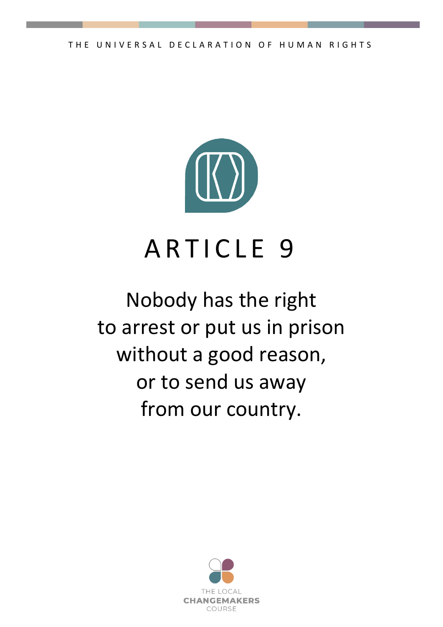

### ARTICLE 9

#### Nobody has the right to arrest or put us in prison without a good reason, or to send us away from our country.

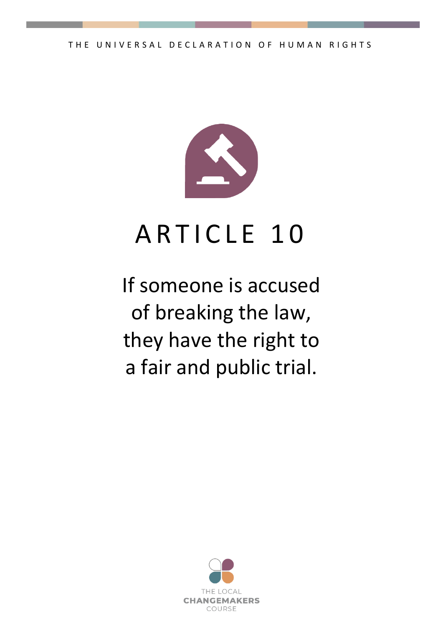

## ARTICLE 10

If someone is accused of breaking the law, they have the right to a fair and public trial.

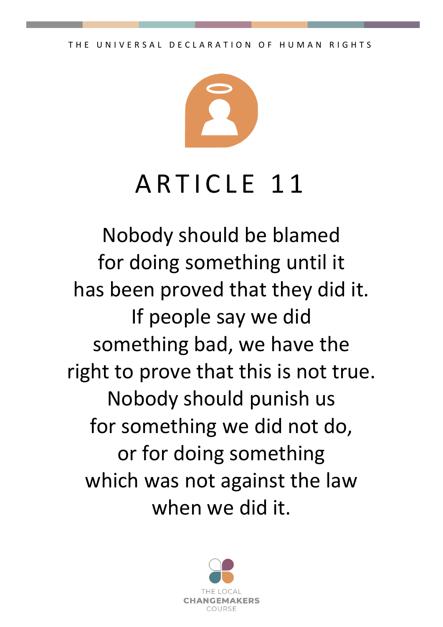

### ARTICLE 11

Nobody should be blamed for doing something until it has been proved that they did it. If people say we did something bad, we have the right to prove that this is not true. Nobody should punish us for something we did not do, or for doing something which was not against the law when we did it.

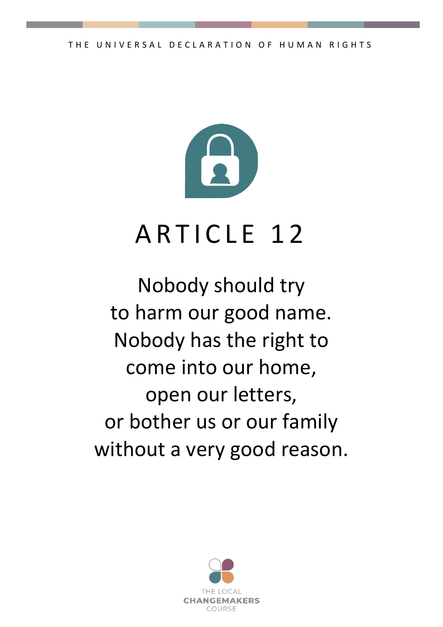

Nobody should try to harm our good name. Nobody has the right to come into our home, open our letters, or bother us or our family without a very good reason.

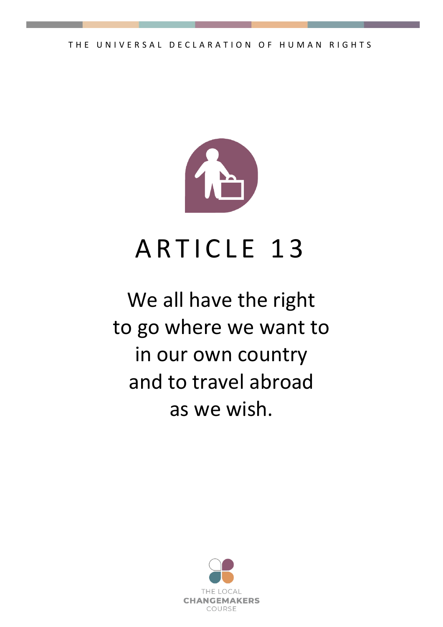

### ARTICLE 13

#### We all have the right to go where we want to in our own country and to travel abroad as we wish.

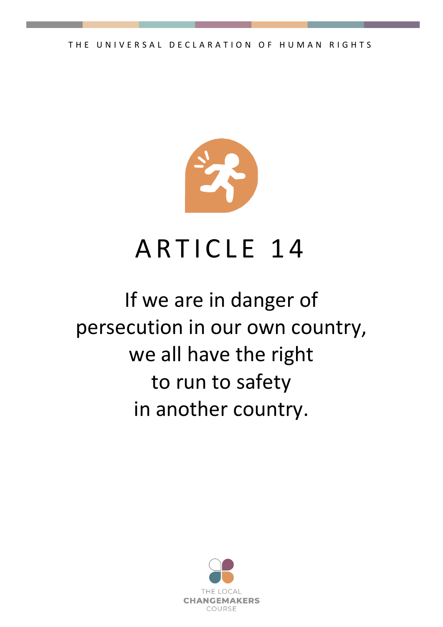

### ARTICLE 14

#### If we are in danger of persecution in our own country, we all have the right to run to safety in another country.

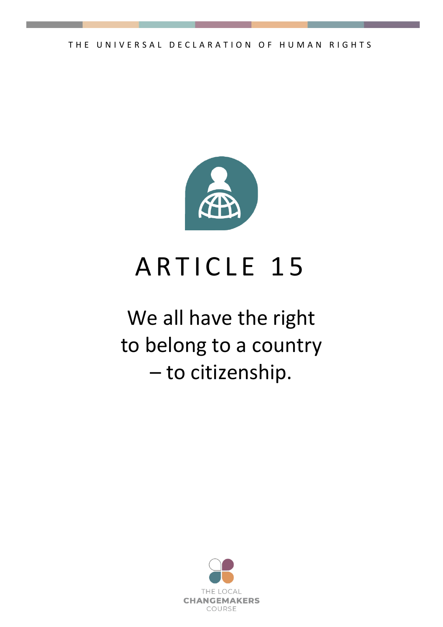

### ARTICLE 15

#### We all have the right to belong to a country – to citizenship.

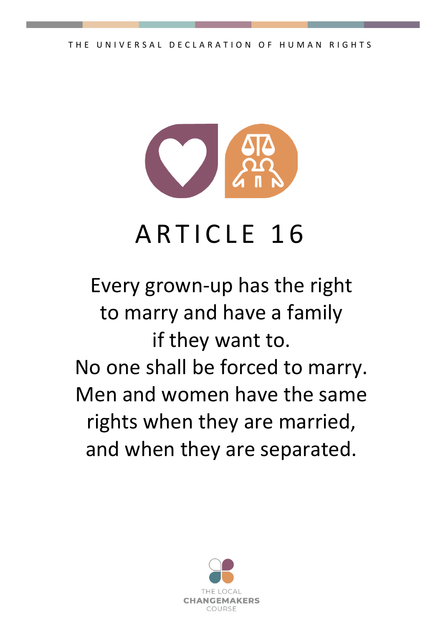

## ARTICLE 16

#### Every grown-up has the right to marry and have a family if they want to. No one shall be forced to marry. Men and women have the same rights when they are married, and when they are separated.

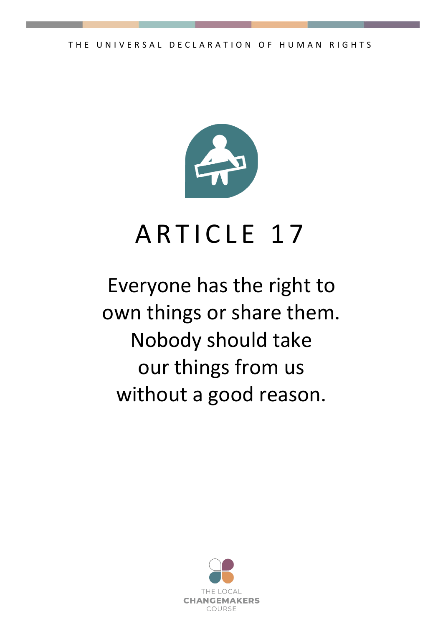

### ARTICLE 17

#### Everyone has the right to own things or share them. Nobody should take our things from us without a good reason.

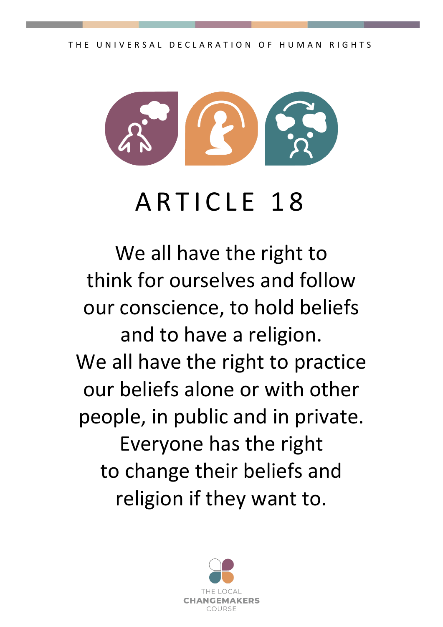

### ARTICLE 18

We all have the right to think for ourselves and follow our conscience, to hold beliefs and to have a religion. We all have the right to practice our beliefs alone or with other people, in public and in private. Everyone has the right to change their beliefs and religion if they want to.

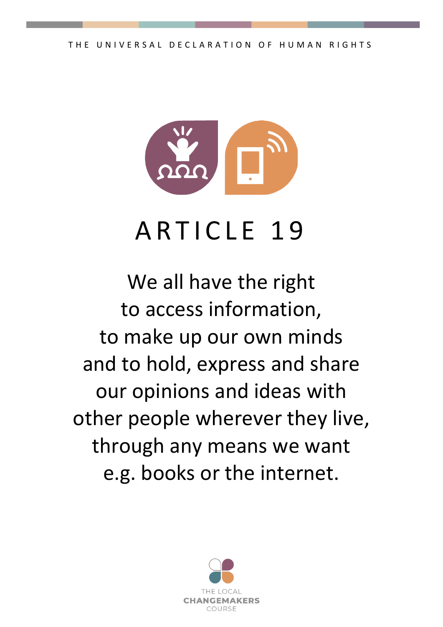

### ARTICLE 19

We all have the right to access information, to make up our own minds and to hold, express and share our opinions and ideas with other people wherever they live, through any means we want e.g. books or the internet.

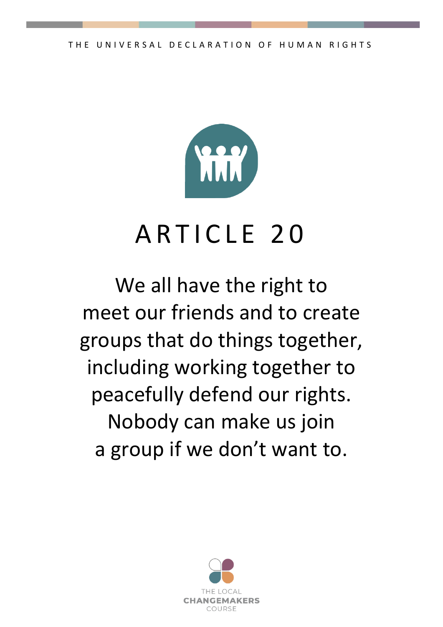

## ARTICLE 20

We all have the right to meet our friends and to create groups that do things together, including working together to peacefully defend our rights. Nobody can make us join a group if we don't want to.

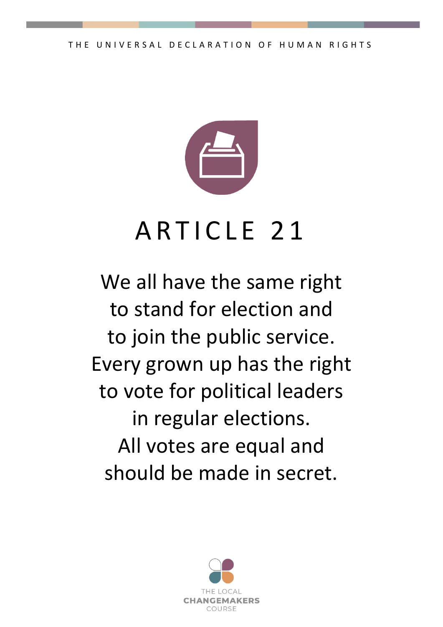

#### We all have the same right to stand for election and to join the public service. Every grown up has the right to vote for political leaders in regular elections. All votes are equal and should be made in secret.

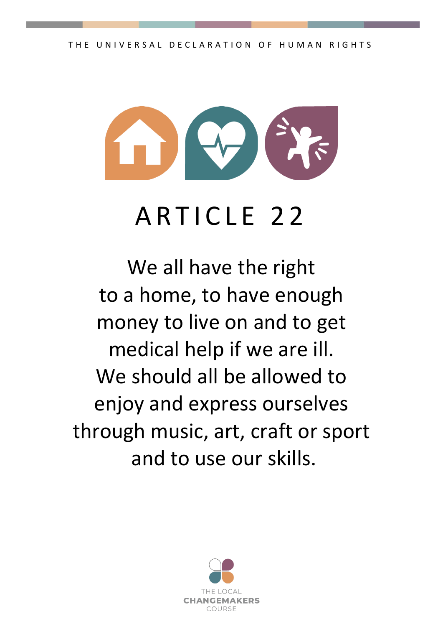

#### ARTICLE 22

We all have the right to a home, to have enough money to live on and to get medical help if we are ill. We should all be allowed to enjoy and express ourselves through music, art, craft or sport and to use our skills.

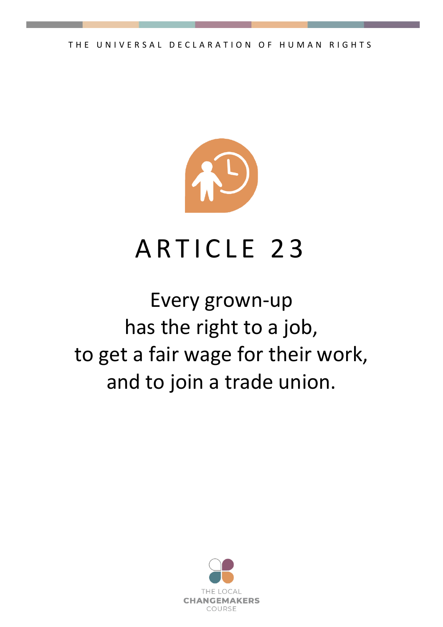

#### ARTICLE 23

#### Every grown-up has the right to a job, to get a fair wage for their work, and to join a trade union.

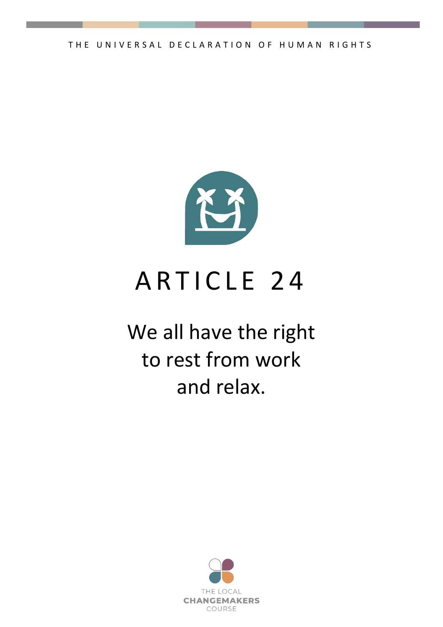

### ARTICLE 24

#### We all have the right to rest from work and relax.

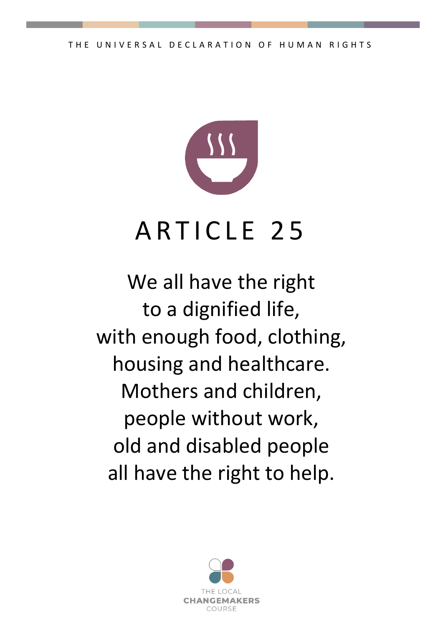

## ARTICLE 25

We all have the right to a dignified life, with enough food, clothing, housing and healthcare. Mothers and children, people without work, old and disabled people all have the right to help.

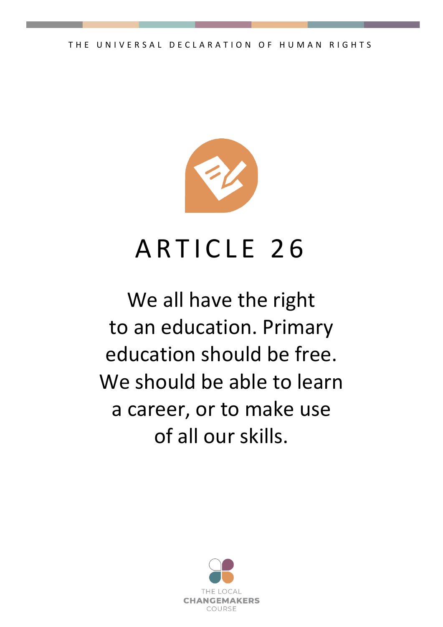

### ARTICLE 26

We all have the right to an education. Primary education should be free. We should be able to learn a career, or to make use of all our skills.

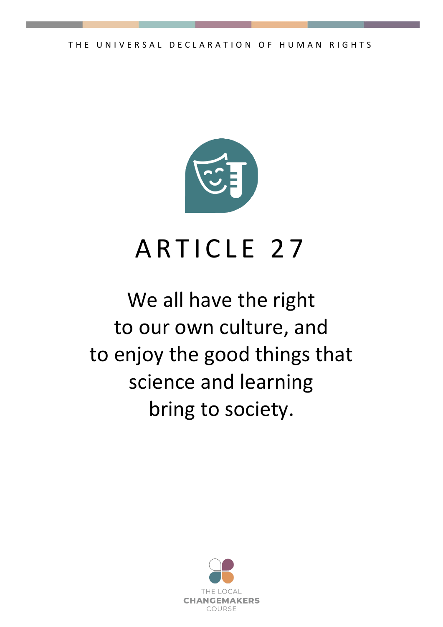

### ARTICLE 27

#### We all have the right to our own culture, and to enjoy the good things that science and learning bring to society.

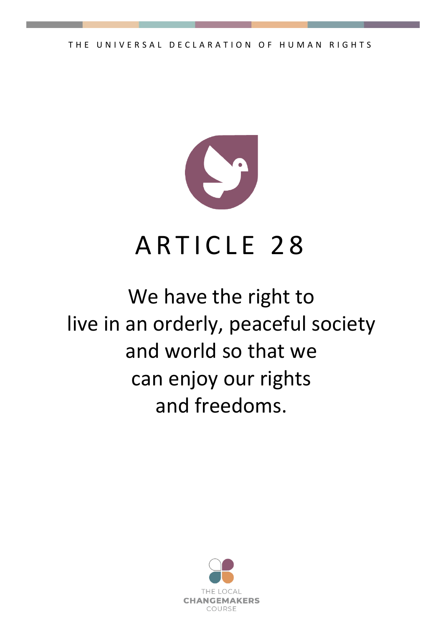

#### ARTICLE 28

#### We have the right to live in an orderly, peaceful society and world so that we can enjoy our rights and freedoms.

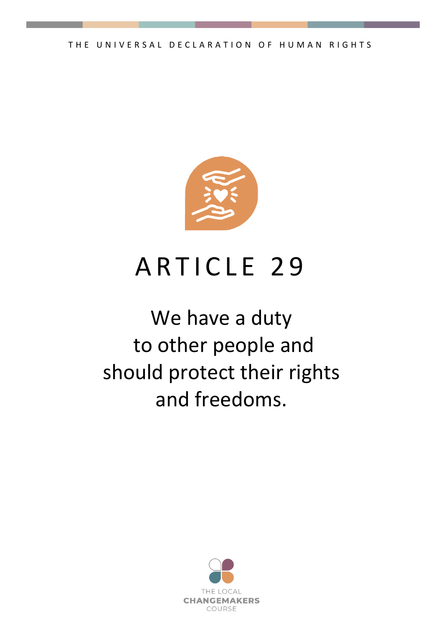

### ARTICLE 29

#### We have a duty to other people and should protect their rights and freedoms.